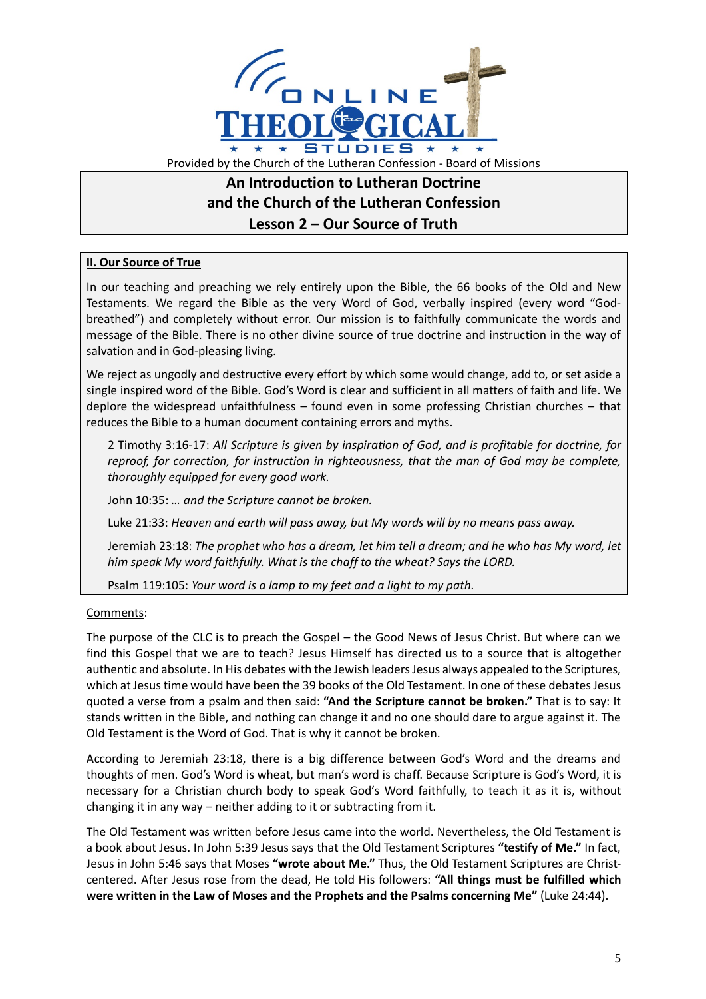

## **An Introduction to Lutheran Doctrine and the Church of the Lutheran Confession Lesson 2 – Our Source of Truth**

## **II. Our Source of True**

In our teaching and preaching we rely entirely upon the Bible, the 66 books of the Old and New Testaments. We regard the Bible as the very Word of God, verbally inspired (every word "Godbreathed") and completely without error. Our mission is to faithfully communicate the words and message of the Bible. There is no other divine source of true doctrine and instruction in the way of salvation and in God-pleasing living.

We reject as ungodly and destructive every effort by which some would change, add to, or set aside a single inspired word of the Bible. God's Word is clear and sufficient in all matters of faith and life. We deplore the widespread unfaithfulness – found even in some professing Christian churches – that reduces the Bible to a human document containing errors and myths.

2 Timothy 3:16-17: *All Scripture is given by inspiration of God, and is profitable for doctrine, for reproof, for correction, for instruction in righteousness, that the man of God may be complete, thoroughly equipped for every good work.*

John 10:35: *… and the Scripture cannot be broken.*

Luke 21:33: *Heaven and earth will pass away, but My words will by no means pass away.*

Jeremiah 23:18: *The prophet who has a dream, let him tell a dream; and he who has My word, let him speak My word faithfully. What is the chaff to the wheat? Says the LORD.*

Psalm 119:105: *Your word is a lamp to my feet and a light to my path.*

## Comments:

The purpose of the CLC is to preach the Gospel – the Good News of Jesus Christ. But where can we find this Gospel that we are to teach? Jesus Himself has directed us to a source that is altogether authentic and absolute. In His debates with the Jewish leaders Jesus always appealed to the Scriptures, which at Jesus time would have been the 39 books of the Old Testament. In one of these debates Jesus quoted a verse from a psalm and then said: **"And the Scripture cannot be broken."** That is to say: It stands written in the Bible, and nothing can change it and no one should dare to argue against it. The Old Testament is the Word of God. That is why it cannot be broken.

According to Jeremiah 23:18, there is a big difference between God's Word and the dreams and thoughts of men. God's Word is wheat, but man's word is chaff. Because Scripture is God's Word, it is necessary for a Christian church body to speak God's Word faithfully, to teach it as it is, without changing it in any way – neither adding to it or subtracting from it.

The Old Testament was written before Jesus came into the world. Nevertheless, the Old Testament is a book about Jesus. In John 5:39 Jesus says that the Old Testament Scriptures **"testify of Me."** In fact, Jesus in John 5:46 says that Moses **"wrote about Me."** Thus, the Old Testament Scriptures are Christcentered. After Jesus rose from the dead, He told His followers: **"All things must be fulfilled which were written in the Law of Moses and the Prophets and the Psalms concerning Me"** (Luke 24:44).